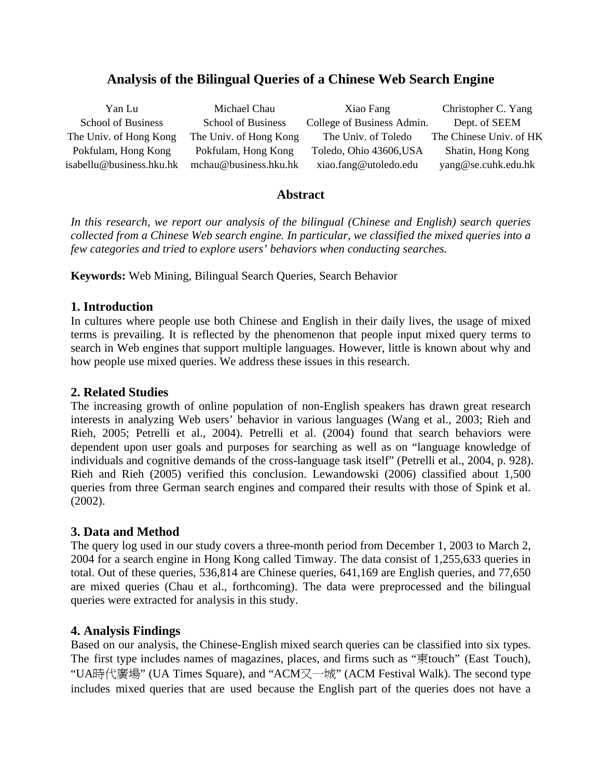# **Analysis of the Bilingual Queries of a Chinese Web Search Engine**

| Yan Lu                    | Michael Chau              | Xiao Fang                  | Christopher C. Yang     |
|---------------------------|---------------------------|----------------------------|-------------------------|
| <b>School of Business</b> | <b>School of Business</b> | College of Business Admin. | Dept. of SEEM           |
| The Univ. of Hong Kong    | The Univ. of Hong Kong    | The Univ. of Toledo        | The Chinese Univ. of HK |
| Pokfulam, Hong Kong       | Pokfulam, Hong Kong       | Toledo, Ohio 43606, USA    | Shatin, Hong Kong       |
| isabellu@business.hku.hk  | mchau@business.hku.hk     | xiao.fang@utoledo.edu      | yang@se.cuhk.edu.hk     |

## **Abstract**

*In this research, we report our analysis of the bilingual (Chinese and English) search queries collected from a Chinese Web search engine. In particular, we classified the mixed queries into a few categories and tried to explore users' behaviors when conducting searches.* 

**Keywords:** Web Mining, Bilingual Search Queries, Search Behavior

## **1. Introduction**

In cultures where people use both Chinese and English in their daily lives, the usage of mixed terms is prevailing. It is reflected by the phenomenon that people input mixed query terms to search in Web engines that support multiple languages. However, little is known about why and how people use mixed queries. We address these issues in this research.

## **2. Related Studies**

The increasing growth of online population of non-English speakers has drawn great research interests in analyzing Web users' behavior in various languages (Wang et al., 2003; Rieh and Rieh, 2005; Petrelli et al., 2004). Petrelli et al. (2004) found that search behaviors were dependent upon user goals and purposes for searching as well as on "language knowledge of individuals and cognitive demands of the cross-language task itself" (Petrelli et al., 2004, p. 928). Rieh and Rieh (2005) verified this conclusion. Lewandowski (2006) classified about 1,500 queries from three German search engines and compared their results with those of Spink et al. (2002).

## **3. Data and Method**

The query log used in our study covers a three-month period from December 1, 2003 to March 2, 2004 for a search engine in Hong Kong called Timway. The data consist of 1,255,633 queries in total. Out of these queries, 536,814 are Chinese queries, 641,169 are English queries, and 77,650 are mixed queries (Chau et al., forthcoming). The data were preprocessed and the bilingual queries were extracted for analysis in this study.

## **4. Analysis Findings**

Based on our analysis, the Chinese-English mixed search queries can be classified into six types. The first type includes names of magazines, places, and firms such as "東touch" (East Touch), "UA時代廣場" (UA Times Square), and "ACM又一城" (ACM Festival Walk). The second type includes mixed queries that are used because the English part of the queries does not have a